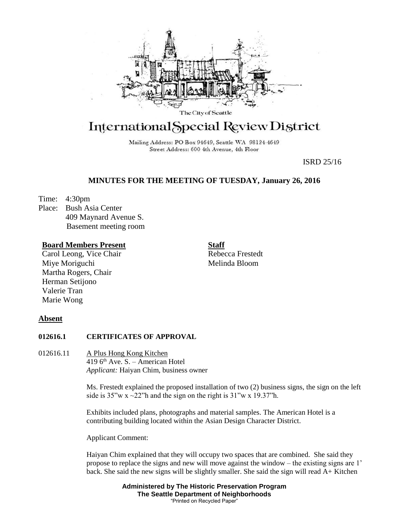

# International Special Review District

Mailing Address: PO Box 94649, Seattle WA 98124-4649 Street Address: 600 4th Avenue, 4th Floor

ISRD 25/16

## **MINUTES FOR THE MEETING OF TUESDAY, January 26, 2016**

Time: 4:30pm

Place: Bush Asia Center 409 Maynard Avenue S. Basement meeting room

## **Board Members Present**

Carol Leong, Vice Chair Miye Moriguchi Martha Rogers, Chair Herman Setijono Valerie Tran Marie Wong

**Staff** Rebecca Frestedt

Melinda Bloom

## **Absent**

## **012616.1 CERTIFICATES OF APPROVAL**

012616.11 A Plus Hong Kong Kitchen 419  $6<sup>th</sup>$  Ave. S. – American Hotel *Applicant:* Haiyan Chim, business owner

> Ms. Frestedt explained the proposed installation of two (2) business signs, the sign on the left side is  $35''w x \sim 22''h$  and the sign on the right is  $31''w x 19.37''h$ .

Exhibits included plans, photographs and material samples. The American Hotel is a contributing building located within the Asian Design Character District.

Applicant Comment:

Haiyan Chim explained that they will occupy two spaces that are combined. She said they propose to replace the signs and new will move against the window – the existing signs are 1' back. She said the new signs will be slightly smaller. She said the sign will read A+ Kitchen

> **Administered by The Historic Preservation Program The Seattle Department of Neighborhoods** "Printed on Recycled Paper"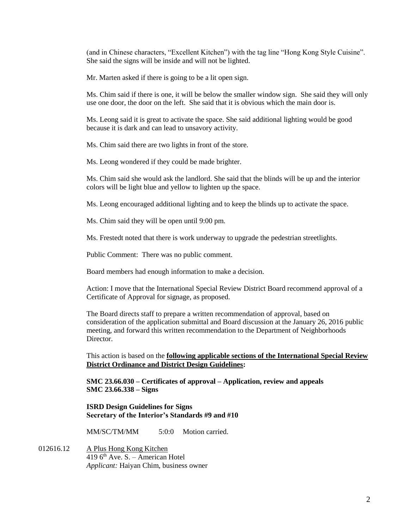(and in Chinese characters, "Excellent Kitchen") with the tag line "Hong Kong Style Cuisine". She said the signs will be inside and will not be lighted.

Mr. Marten asked if there is going to be a lit open sign.

Ms. Chim said if there is one, it will be below the smaller window sign. She said they will only use one door, the door on the left. She said that it is obvious which the main door is.

Ms. Leong said it is great to activate the space. She said additional lighting would be good because it is dark and can lead to unsavory activity.

Ms. Chim said there are two lights in front of the store.

Ms. Leong wondered if they could be made brighter.

Ms. Chim said she would ask the landlord. She said that the blinds will be up and the interior colors will be light blue and yellow to lighten up the space.

Ms. Leong encouraged additional lighting and to keep the blinds up to activate the space.

Ms. Chim said they will be open until 9:00 pm.

Ms. Frestedt noted that there is work underway to upgrade the pedestrian streetlights.

Public Comment: There was no public comment.

Board members had enough information to make a decision.

Action: I move that the International Special Review District Board recommend approval of a Certificate of Approval for signage, as proposed.

The Board directs staff to prepare a written recommendation of approval, based on consideration of the application submittal and Board discussion at the January 26, 2016 public meeting, and forward this written recommendation to the Department of Neighborhoods Director.

This action is based on the **following applicable sections of the International Special Review District Ordinance and District Design Guidelines:** 

**SMC 23.66.030 – Certificates of approval – Application, review and appeals SMC 23.66.338 – Signs**

**ISRD Design Guidelines for Signs Secretary of the Interior's Standards #9 and #10**

MM/SC/TM/MM 5:0:0 Motion carried.

012616.12 A Plus Hong Kong Kitchen 419  $6<sup>th</sup>$  Ave. S. – American Hotel *Applicant:* Haiyan Chim, business owner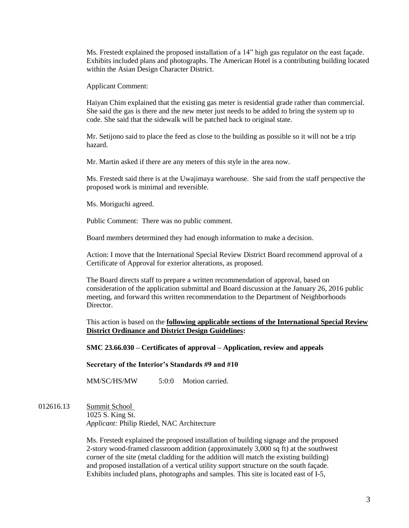Ms. Frestedt explained the proposed installation of a 14" high gas regulator on the east façade. Exhibits included plans and photographs. The American Hotel is a contributing building located within the Asian Design Character District.

Applicant Comment:

Haiyan Chim explained that the existing gas meter is residential grade rather than commercial. She said the gas is there and the new meter just needs to be added to bring the system up to code. She said that the sidewalk will be patched back to original state.

Mr. Setijono said to place the feed as close to the building as possible so it will not be a trip hazard.

Mr. Martin asked if there are any meters of this style in the area now.

Ms. Frestedt said there is at the Uwajimaya warehouse. She said from the staff perspective the proposed work is minimal and reversible.

Ms. Moriguchi agreed.

Public Comment: There was no public comment.

Board members determined they had enough information to make a decision.

Action: I move that the International Special Review District Board recommend approval of a Certificate of Approval for exterior alterations, as proposed.

The Board directs staff to prepare a written recommendation of approval, based on consideration of the application submittal and Board discussion at the January 26, 2016 public meeting, and forward this written recommendation to the Department of Neighborhoods Director.

This action is based on the **following applicable sections of the International Special Review District Ordinance and District Design Guidelines:** 

**SMC 23.66.030 – Certificates of approval – Application, review and appeals**

**Secretary of the Interior's Standards #9 and #10**

MM/SC/HS/MW 5:0:0 Motion carried.

012616.13 Summit School 1025 S. King St. *Applicant:* Philip Riedel, NAC Architecture

> Ms. Frestedt explained the proposed installation of building signage and the proposed 2-story wood-framed classroom addition (approximately 3,000 sq ft) at the southwest corner of the site (metal cladding for the addition will match the existing building) and proposed installation of a vertical utility support structure on the south façade. Exhibits included plans, photographs and samples. This site is located east of I-5,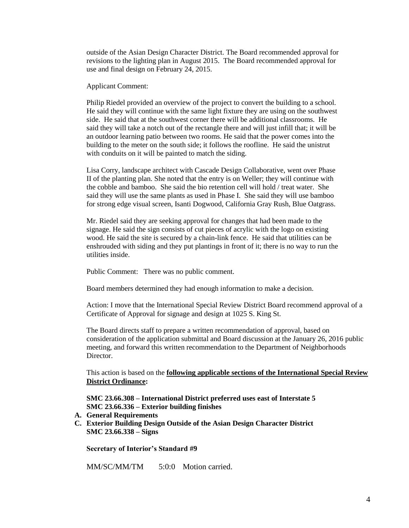outside of the Asian Design Character District. The Board recommended approval for revisions to the lighting plan in August 2015. The Board recommended approval for use and final design on February 24, 2015.

Applicant Comment:

Philip Riedel provided an overview of the project to convert the building to a school. He said they will continue with the same light fixture they are using on the southwest side. He said that at the southwest corner there will be additional classrooms. He said they will take a notch out of the rectangle there and will just infill that; it will be an outdoor learning patio between two rooms. He said that the power comes into the building to the meter on the south side; it follows the roofline. He said the unistrut with conduits on it will be painted to match the siding.

Lisa Corry, landscape architect with Cascade Design Collaborative, went over Phase II of the planting plan. She noted that the entry is on Weller; they will continue with the cobble and bamboo. She said the bio retention cell will hold / treat water. She said they will use the same plants as used in Phase I. She said they will use bamboo for strong edge visual screen, Isanti Dogwood, California Gray Rush, Blue Oatgrass.

Mr. Riedel said they are seeking approval for changes that had been made to the signage. He said the sign consists of cut pieces of acrylic with the logo on existing wood. He said the site is secured by a chain-link fence. He said that utilities can be enshrouded with siding and they put plantings in front of it; there is no way to run the utilities inside.

Public Comment: There was no public comment.

Board members determined they had enough information to make a decision.

Action: I move that the International Special Review District Board recommend approval of a Certificate of Approval for signage and design at 1025 S. King St.

The Board directs staff to prepare a written recommendation of approval, based on consideration of the application submittal and Board discussion at the January 26, 2016 public meeting, and forward this written recommendation to the Department of Neighborhoods Director.

This action is based on the **following applicable sections of the International Special Review District Ordinance:** 

**SMC 23.66.308 – International District preferred uses east of Interstate 5 SMC 23.66.336 – Exterior building finishes**

- **A. General Requirements**
- **C. Exterior Building Design Outside of the Asian Design Character District SMC 23.66.338 – Signs**

**Secretary of Interior's Standard #9**

MM/SC/MM/TM 5:0:0 Motion carried.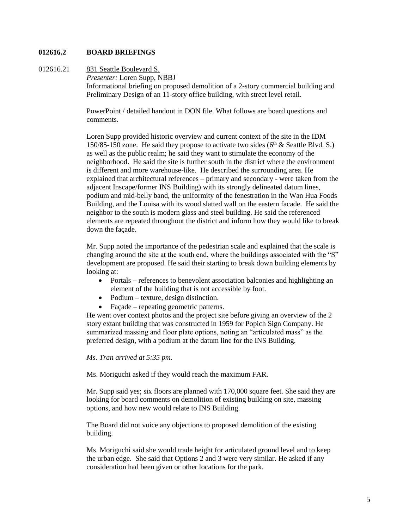### **012616.2 BOARD BRIEFINGS**

#### 012616.21 831 Seattle Boulevard S.

*Presenter:* Loren Supp, NBBJ Informational briefing on proposed demolition of a 2-story commercial building and Preliminary Design of an 11-story office building, with street level retail.

PowerPoint / detailed handout in DON file. What follows are board questions and comments.

Loren Supp provided historic overview and current context of the site in the IDM 150/85-150 zone. He said they propose to activate two sides  $(6<sup>th</sup> & Seattle Blvd. S.)$ as well as the public realm; he said they want to stimulate the economy of the neighborhood. He said the site is further south in the district where the environment is different and more warehouse-like. He described the surrounding area. He explained that architectural references – primary and secondary - were taken from the adjacent Inscape/former INS Building) with its strongly delineated datum lines, podium and mid-belly band, the uniformity of the fenestration in the Wan Hua Foods Building, and the Louisa with its wood slatted wall on the eastern facade. He said the neighbor to the south is modern glass and steel building. He said the referenced elements are repeated throughout the district and inform how they would like to break down the façade.

Mr. Supp noted the importance of the pedestrian scale and explained that the scale is changing around the site at the south end, where the buildings associated with the "S" development are proposed. He said their starting to break down building elements by looking at:

- Portals references to benevolent association balconies and highlighting an element of the building that is not accessible by foot.
- Podium texture, design distinction.
- Façade repeating geometric patterns.

He went over context photos and the project site before giving an overview of the 2 story extant building that was constructed in 1959 for Popich Sign Company. He summarized massing and floor plate options, noting an "articulated mass" as the preferred design, with a podium at the datum line for the INS Building.

#### *Ms. Tran arrived at 5:35 pm.*

Ms. Moriguchi asked if they would reach the maximum FAR.

Mr. Supp said yes; six floors are planned with 170,000 square feet. She said they are looking for board comments on demolition of existing building on site, massing options, and how new would relate to INS Building.

The Board did not voice any objections to proposed demolition of the existing building.

Ms. Moriguchi said she would trade height for articulated ground level and to keep the urban edge. She said that Options 2 and 3 were very similar. He asked if any consideration had been given or other locations for the park.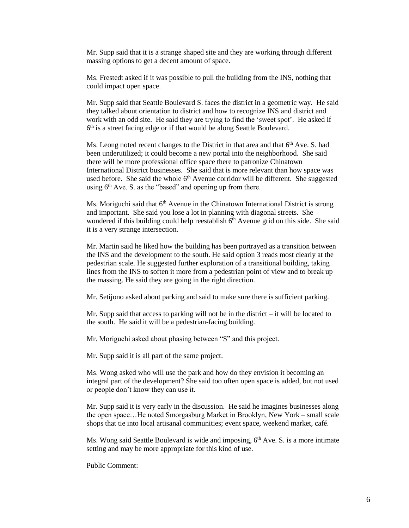Mr. Supp said that it is a strange shaped site and they are working through different massing options to get a decent amount of space.

Ms. Frestedt asked if it was possible to pull the building from the INS, nothing that could impact open space.

Mr. Supp said that Seattle Boulevard S. faces the district in a geometric way. He said they talked about orientation to district and how to recognize INS and district and work with an odd site. He said they are trying to find the 'sweet spot'. He asked if 6<sup>th</sup> is a street facing edge or if that would be along Seattle Boulevard.

Ms. Leong noted recent changes to the District in that area and that  $6<sup>th</sup>$  Ave. S. had been underutilized; it could become a new portal into the neighborhood. She said there will be more professional office space there to patronize Chinatown International District businesses. She said that is more relevant than how space was used before. She said the whole  $6<sup>th</sup>$  Avenue corridor will be different. She suggested using  $6<sup>th</sup>$  Ave. S. as the "based" and opening up from there.

Ms. Moriguchi said that  $6<sup>th</sup>$  Avenue in the Chinatown International District is strong and important. She said you lose a lot in planning with diagonal streets. She wondered if this building could help reestablish  $6<sup>th</sup>$  Avenue grid on this side. She said it is a very strange intersection.

Mr. Martin said he liked how the building has been portrayed as a transition between the INS and the development to the south. He said option 3 reads most clearly at the pedestrian scale. He suggested further exploration of a transitional building, taking lines from the INS to soften it more from a pedestrian point of view and to break up the massing. He said they are going in the right direction.

Mr. Setijono asked about parking and said to make sure there is sufficient parking.

Mr. Supp said that access to parking will not be in the district – it will be located to the south. He said it will be a pedestrian-facing building.

Mr. Moriguchi asked about phasing between "S" and this project.

Mr. Supp said it is all part of the same project.

Ms. Wong asked who will use the park and how do they envision it becoming an integral part of the development? She said too often open space is added, but not used or people don't know they can use it.

Mr. Supp said it is very early in the discussion. He said he imagines businesses along the open space…He noted Smorgasburg Market in Brooklyn, New York – small scale shops that tie into local artisanal communities; event space, weekend market, café.

Ms. Wong said Seattle Boulevard is wide and imposing, 6<sup>th</sup> Ave. S. is a more intimate setting and may be more appropriate for this kind of use.

Public Comment: